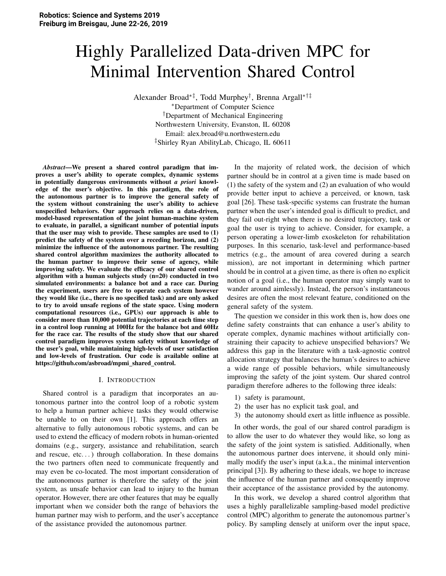# Highly Parallelized Data-driven MPC for Minimal Intervention Shared Control

Alexander Broad∗‡, Todd Murphey† , Brenna Argall∗†‡

<sup>∗</sup>Department of Computer Science †Department of Mechanical Engineering Northwestern University, Evanston, IL 60208 Email: alex.broad@u.northwestern.edu ‡Shirley Ryan AbilityLab, Chicago, IL 60611

*Abstract*—We present a shared control paradigm that improves a user's ability to operate complex, dynamic systems in potentially dangerous environments without *a priori* knowledge of the user's objective. In this paradigm, the role of the autonomous partner is to improve the general safety of the system without constraining the user's ability to achieve unspecified behaviors. Our approach relies on a data-driven, model-based representation of the joint human-machine system to evaluate, in parallel, a significant number of potential inputs that the user may wish to provide. These samples are used to (1) predict the safety of the system over a receding horizon, and (2) minimize the influence of the autonomous partner. The resulting shared control algorithm maximizes the authority allocated to the human partner to improve their sense of agency, while improving safety. We evaluate the efficacy of our shared control algorithm with a human subjects study (n=20) conducted in two simulated environments: a balance bot and a race car. During the experiment, users are free to operate each system however they would like (i.e., there is no specified task) and are only asked to try to avoid unsafe regions of the state space. Using modern computational resources (i.e., GPUs) our approach is able to consider more than 10,000 potential trajectories at each time step in a control loop running at 100Hz for the balance bot and 60Hz for the race car. The results of the study show that our shared control paradigm improves system safety without knowledge of the user's goal, while maintaining high-levels of user satisfaction and low-levels of frustration. Our code is available online at https://github.com/asbroad/mpmi\_shared\_control.

## I. INTRODUCTION

Shared control is a paradigm that incorporates an autonomous partner into the control loop of a robotic system to help a human partner achieve tasks they would otherwise be unable to on their own [1]. This approach offers an alternative to fully autonomous robotic systems, and can be used to extend the efficacy of modern robots in human-oriented domains (e.g., surgery, assistance and rehabilitation, search and rescue, etc...) through collaboration. In these domains the two partners often need to communicate frequently and may even be co-located. The most important consideration of the autonomous partner is therefore the safety of the joint system, as unsafe behavior can lead to injury to the human operator. However, there are other features that may be equally important when we consider both the range of behaviors the human partner may wish to perform, and the user's acceptance of the assistance provided the autonomous partner.

In the majority of related work, the decision of which partner should be in control at a given time is made based on (1) the safety of the system and (2) an evaluation of who would provide better input to achieve a perceived, or known, task goal [26]. These task-specific systems can frustrate the human partner when the user's intended goal is difficult to predict, and they fail out-right when there is no desired trajectory, task or goal the user is trying to achieve. Consider, for example, a person operating a lower-limb exoskeleton for rehabilitation purposes. In this scenario, task-level and performance-based metrics (e.g., the amount of area covered during a search mission), are not important in determining which partner should be in control at a given time, as there is often no explicit notion of a goal (i.e., the human operator may simply want to wander around aimlessly). Instead, the person's instantaneous desires are often the most relevant feature, conditioned on the general safety of the system.

The question we consider in this work then is, how does one define safety constraints that can enhance a user's ability to operate complex, dynamic machines without artificially constraining their capacity to achieve unspecified behaviors? We address this gap in the literature with a task-agnostic control allocation strategy that balances the human's desires to achieve a wide range of possible behaviors, while simultaneously improving the safety of the joint system. Our shared control paradigm therefore adheres to the following three ideals:

- 1) safety is paramount,
- 2) the user has no explicit task goal, and
- 3) the autonomy should exert as little influence as possible.

In other words, the goal of our shared control paradigm is to allow the user to do whatever they would like, so long as the safety of the joint system is satisfied. Additionally, when the autonomous partner does intervene, it should only minimally modify the user's input (a.k.a., the minimal intervention principal [3]). By adhering to these ideals, we hope to increase the influence of the human partner and consequently improve their acceptance of the assistance provided by the autonomy.

In this work, we develop a shared control algorithm that uses a highly parallelizable sampling-based model predictive control (MPC) algorithm to generate the autonomous partner's policy. By sampling densely at uniform over the input space,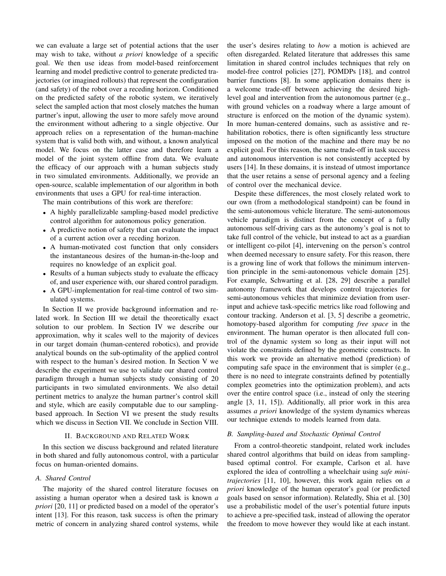we can evaluate a large set of potential actions that the user may wish to take, without a priori knowledge of a specific goal. We then use ideas from model-based reinforcement learning and model predictive control to generate predicted trajectories (or imagined rollouts) that represent the configuration (and safety) of the robot over a receding horizon. Conditioned on the predicted safety of the robotic system, we iteratively select the sampled action that most closely matches the human partner's input, allowing the user to more safely move around the environment without adhering to a single objective. Our approach relies on a representation of the human-machine system that is valid both with, and without, a known analytical model. We focus on the latter case and therefore learn a model of the joint system offline from data. We evaluate the efficacy of our approach with a human subjects study in two simulated environments. Additionally, we provide an open-source, scalable implementation of our algorithm in both environments that uses a GPU for real-time interaction.

The main contributions of this work are therefore:

- A highly parallelizable sampling-based model predictive control algorithm for autonomous policy generation.
- A predictive notion of safety that can evaluate the impact of a current action over a receding horizon.
- A human-motivated cost function that only considers the instantaneous desires of the human-in-the-loop and requires no knowledge of an explicit goal.
- Results of a human subjects study to evaluate the efficacy of, and user experience with, our shared control paradigm.
- A GPU-implementation for real-time control of two simulated systems.

In Section II we provide background information and related work. In Section III we detail the theoretically exact solution to our problem. In Section IV we describe our approximation, why it scales well to the majority of devices in our target domain (human-centered robotics), and provide analytical bounds on the sub-optimality of the applied control with respect to the human's desired motion. In Section V we describe the experiment we use to validate our shared control paradigm through a human subjects study consisting of 20 participants in two simulated environments. We also detail pertinent metrics to analyze the human partner's control skill and style, which are easily computable due to our samplingbased approach. In Section VI we present the study results which we discuss in Section VII. We conclude in Section VIII.

## **II. BACKGROUND AND RELATED WORK**

In this section we discuss background and related literature in both shared and fully autonomous control, with a particular focus on human-oriented domains.

## A. Shared Control

The majority of the shared control literature focuses on assisting a human operator when a desired task is known a *priori* [20, 11] or predicted based on a model of the operator's intent [13]. For this reason, task success is often the primary metric of concern in analyzing shared control systems, while the user's desires relating to *how* a motion is achieved are often disregarded. Related literature that addresses this same limitation in shared control includes techniques that rely on model-free control policies [27], POMDPs [18], and control barrier functions [8]. In some application domains there is a welcome trade-off between achieving the desired highlevel goal and intervention from the autonomous partner (e.g., with ground vehicles on a roadway where a large amount of structure is enforced on the motion of the dynamic system). In more human-centered domains, such as assistive and rehabilitation robotics, there is often significantly less structure imposed on the motion of the machine and there may be no explicit goal. For this reason, the same trade-off in task success and autonomous intervention is not consistently accepted by users [14]. In these domains, it is instead of utmost importance that the user retains a sense of personal agency and a feeling of control over the mechanical device.

Despite these differences, the most closely related work to our own (from a methodological standpoint) can be found in the semi-autonomous vehicle literature. The semi-autonomous vehicle paradigm is distinct from the concept of a fully autonomous self-driving cars as the autonomy's goal is not to take full control of the vehicle, but instead to act as a guardian or intelligent co-pilot [4], intervening on the person's control when deemed necessary to ensure safety. For this reason, there is a growing line of work that follows the minimum intervention principle in the semi-autonomous vehicle domain [25]. For example, Schwarting et al. [28, 29] describe a parallel autonomy framework that develops control trajectories for semi-autonomous vehicles that minimize deviation from userinput and achieve task-specific metrics like road following and contour tracking. Anderson et al. [3, 5] describe a geometric, homotopy-based algorithm for computing *free space* in the environment. The human operator is then allocated full control of the dynamic system so long as their input will not violate the constraints defined by the geometric constructs. In this work we provide an alternative method (prediction) of computing safe space in the environment that is simpler (e.g., there is no need to integrate constraints defined by potentially complex geometries into the optimization problem), and acts over the entire control space (i.e., instead of only the steering angle  $[3, 11, 15]$ ). Additionally, all prior work in this area assumes *a priori* knowledge of the system dynamics whereas our technique extends to models learned from data.

#### B. Sampling-based and Stochastic Optimal Control

From a control-theoretic standpoint, related work includes shared control algorithms that build on ideas from samplingbased optimal control. For example, Carlson et al. have explored the idea of controlling a wheelchair using safe minitrajectories  $[11, 10]$ , however, this work again relies on  $a$ *priori* knowledge of the human operator's goal (or predicted goals based on sensor information). Relatedly, Shia et al. [30] use a probabilistic model of the user's potential future inputs to achieve a pre-specified task, instead of allowing the operator the freedom to move however they would like at each instant.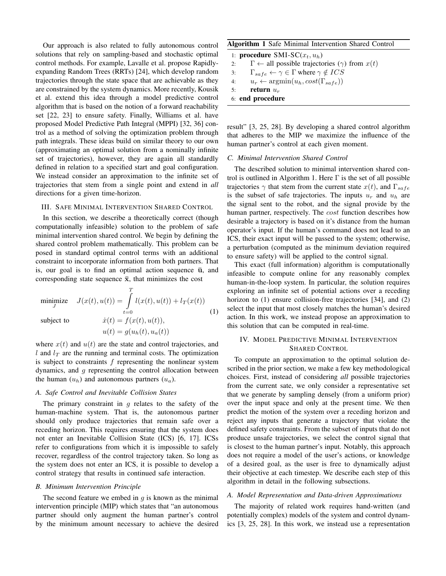Our approach is also related to fully autonomous control solutions that rely on sampling-based and stochastic optimal control methods. For example, Lavalle et al. propose Rapidlyexpanding Random Trees (RRTs) [24], which develop random trajectories through the state space that are achievable as they are constrained by the system dynamics. More recently, Kousik et al. extend this idea through a model predictive control algorithm that is based on the notion of a forward reachability set [22, 23] to ensure safety. Finally, Williams et al. have proposed Model Predictive Path Integral (MPPI) [32, 36] control as a method of solving the optimization problem through path integrals. These ideas build on similar theory to our own (approximating an optimal solution from a nominally infinite set of trajectories), however, they are again all standardly defined in relation to a specified start and goal configuration. We instead consider an approximation to the infinite set of trajectories that stem from a single point and extend in all directions for a given time-horizon.

## III. SAFE MINIMAL INTERVENTION SHARED CONTROL

In this section, we describe a theoretically correct (though computationally infeasible) solution to the problem of safe minimal intervention shared control. We begin by defining the shared control problem mathematically. This problem can be posed in standard optimal control terms with an additional constraint to incorporate information from both partners. That is, our goal is to find an optimal action sequence  $\bar{u}$ , and corresponding state sequence  $\bar{x}$ , that minimizes the cost

$$
\begin{aligned}\n\text{minimize} \quad & J(x(t), u(t)) = \int_{t=0}^{T} l(x(t), u(t)) + l_T(x(t)) \\
\text{subject to} \quad & \dot{x}(t) = f(x(t), u(t)), \\
& u(t) = q(u_h(t), u_a(t))\n\end{aligned} \tag{1}
$$

where  $x(t)$  and  $u(t)$  are the state and control trajectories, and l and  $l_T$  are the running and terminal costs. The optimization is subject to constraints  $f$  representing the nonlinear system dynamics, and  $q$  representing the control allocation between the human  $(u_h)$  and autonomous partners  $(u_a)$ .

#### A. Safe Control and Inevitable Collision States

The primary constraint in  $q$  relates to the safety of the human-machine system. That is, the autonomous partner should only produce trajectories that remain safe over a receding horizon. This requires ensuring that the system does not enter an Inevitable Collision State (ICS) [6, 17]. ICSs refer to configurations from which it is impossible to safely recover, regardless of the control trajectory taken. So long as the system does not enter an ICS, it is possible to develop a control strategy that results in continued safe interaction.

## B. Minimum Intervention Principle

The second feature we embed in  $g$  is known as the minimal intervention principle (MIP) which states that "an autonomous partner should only augment the human partner's control by the minimum amount necessary to achieve the desired

## **Algorithm 1 Safe Minimal Intervention Shared Control**

1: procedure SMI-SC $(x_t, u_h)$  $\Gamma \leftarrow$  all possible trajectories  $(\gamma)$  from  $x(t)$  $2:$  $\Gamma_{safe} \leftarrow \gamma \in \Gamma$  where  $\gamma \notin ICS$  $3:$  $4:$  $u_r \leftarrow \text{argmin}(u_h, cost(\Gamma_{safe}))$  $\overline{\mathbf{5}}$ return  $u_r$ 6: end procedure

result" [3, 25, 28]. By developing a shared control algorithm that adheres to the MIP we maximize the influence of the human partner's control at each given moment.

## C. Minimal Intervention Shared Control

The described solution to minimal intervention shared control is outlined in Algorithm 1. Here  $\Gamma$  is the set of all possible trajectories  $\gamma$  that stem from the current state  $x(t)$ , and  $\Gamma_{safe}$ is the subset of safe trajectories. The inputs  $u_r$  and  $u_h$  are the signal sent to the robot, and the signal provide by the human partner, respectively. The *cost* function describes how desirable a trajectory is based on it's distance from the human operator's input. If the human's command does not lead to an ICS, their exact input will be passed to the system; otherwise, a perturbation (computed as the minimum deviation required to ensure safety) will be applied to the control signal.

This exact (full information) algorithm is computationally infeasible to compute online for any reasonably complex human-in-the-loop system. In particular, the solution requires exploring an infinite set of potential actions over a receding horizon to (1) ensure collision-free trajectories [34], and (2) select the input that most closely matches the human's desired action. In this work, we instead propose an approximation to this solution that can be computed in real-time.

# IV. MODEL PREDICTIVE MINIMAL INTERVENTION **SHARED CONTROL**

To compute an approximation to the optimal solution described in the prior section, we make a few key methodological choices. First, instead of considering all possible trajectories from the current sate, we only consider a representative set that we generate by sampling densely (from a uniform prior) over the input space and only at the present time. We then predict the motion of the system over a receding horizon and reject any inputs that generate a trajectory that violate the defined safety constraints. From the subset of inputs that do not produce unsafe trajectories, we select the control signal that is closest to the human partner's input. Notably, this approach does not require a model of the user's actions, or knowledge of a desired goal, as the user is free to dynamically adjust their objective at each timestep. We describe each step of this algorithm in detail in the following subsections.

## A. Model Representation and Data-driven Approximations

The majority of related work requires hand-written (and potentially complex) models of the system and control dynamics [3, 25, 28]. In this work, we instead use a representation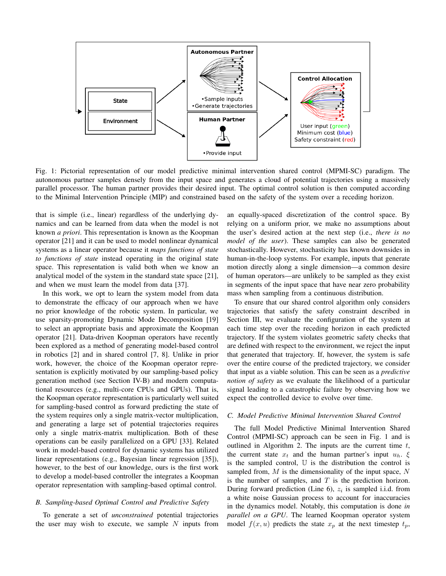

Fig. 1: Pictorial representation of our model predictive minimal intervention shared control (MPMI-SC) paradigm. The autonomous partner samples densely from the input space and generates a cloud of potential trajectories using a massively parallel processor. The human partner provides their desired input. The optimal control solution is then computed according to the Minimal Intervention Principle (MIP) and constrained based on the safety of the system over a receding horizon.

that is simple (i.e., linear) regardless of the underlying dynamics and can be learned from data when the model is not known *a priori*. This representation is known as the Koopman operator [21] and it can be used to model nonlinear dynamical systems as a linear operator because it maps functions of state to functions of state instead operating in the original state space. This representation is valid both when we know an analytical model of the system in the standard state space [21], and when we must learn the model from data [37].

In this work, we opt to learn the system model from data to demonstrate the efficacy of our approach when we have no prior knowledge of the robotic system. In particular, we use sparsity-promoting Dynamic Mode Decomposition [19] to select an appropriate basis and approximate the Koopman operator [21]. Data-driven Koopman operators have recently been explored as a method of generating model-based control in robotics [2] and in shared control [7, 8]. Unlike in prior work, however, the choice of the Koopman operator representation is explicitly motivated by our sampling-based policy generation method (see Section IV-B) and modern computational resources (e.g., multi-core CPUs and GPUs). That is, the Koopman operator representation is particularly well suited for sampling-based control as forward predicting the state of the system requires only a single matrix-vector multiplication, and generating a large set of potential trajectories requires only a single matrix-matrix multiplication. Both of these operations can be easily parallelized on a GPU [33]. Related work in model-based control for dynamic systems has utilized linear representations (e.g., Bayesian linear regression [35]), however, to the best of our knowledge, ours is the first work to develop a model-based controller the integrates a Koopman operator representation with sampling-based optimal control.

## B. Sampling-based Optimal Control and Predictive Safety

To generate a set of *unconstrained* potential trajectories the user may wish to execute, we sample  $N$  inputs from an equally-spaced discretization of the control space. By relying on a uniform prior, we make no assumptions about the user's desired action at the next step (i.e., there is no model of the user). These samples can also be generated stochastically. However, stochasticity has known downsides in human-in-the-loop systems. For example, inputs that generate motion directly along a single dimension—a common desire of human operators—are unlikely to be sampled as they exist in segments of the input space that have near zero probability mass when sampling from a continuous distribution.

To ensure that our shared control algorithm only considers trajectories that satisfy the safety constraint described in Section III, we evaluate the configuration of the system at each time step over the receding horizon in each predicted trajectory. If the system violates geometric safety checks that are defined with respect to the environment, we reject the input that generated that trajectory. If, however, the system is safe over the entire course of the predicted trajectory, we consider that input as a viable solution. This can be seen as a *predictive* notion of safety as we evaluate the likelihood of a particular signal leading to a catastrophic failure by observing how we expect the controlled device to evolve over time.

## C. Model Predictive Minimal Intervention Shared Control

The full Model Predictive Minimal Intervention Shared Control (MPMI-SC) approach can be seen in Fig. 1 and is outlined in Algorithm 2. The inputs are the current time  $t$ , the current state  $x_t$  and the human partner's input  $u_h$ .  $\xi$ is the sampled control,  $U$  is the distribution the control is sampled from,  $M$  is the dimensionality of the input space,  $N$ is the number of samples, and  $T$  is the prediction horizon. During forward prediction (Line 6),  $z_i$  is sampled i.i.d. from a white noise Gaussian process to account for inaccuracies in the dynamics model. Notably, this computation is done in parallel on a GPU. The learned Koopman operator system model  $f(x, u)$  predicts the state  $x_p$  at the next timestep  $t_p$ ,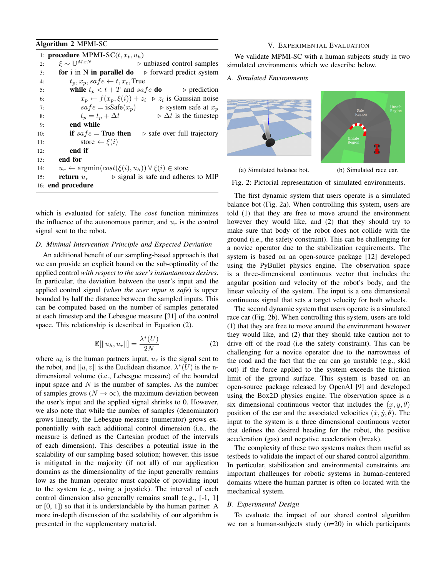# Algorithm 2 MPMI-SC

#### V. EXPERIMENTAL EVALUATION

|     | 1: <b>procedure</b> MPMI-SC $(t, x_t, u_h)$                                                   |  |  |  |  |  |
|-----|-----------------------------------------------------------------------------------------------|--|--|--|--|--|
| 2:  | $\xi \sim \mathbb{U}^{MxN}$<br>$\triangleright$ unbiased control samples                      |  |  |  |  |  |
| 3:  | for i in N in parallel do $\triangleright$ forward predict system                             |  |  |  |  |  |
| 4:  | $t_p, x_p, safe \leftarrow t, x_t$ , True                                                     |  |  |  |  |  |
| 5:  | <b>while</b> $t_p < t + T$ and safe <b>do</b> $\triangleright$ prediction                     |  |  |  |  |  |
| 6:  | $x_p \leftarrow f(x_p, \xi(i)) + z_i \geq z_i$ is Gaussian noise                              |  |  |  |  |  |
| 7:  | $safe = isSafe(x_p)$ $\triangleright$ system safe at $x_p$                                    |  |  |  |  |  |
| 8:  | $\triangleright \Delta t$ is the timestep<br>$t_p = t_p + \Delta t$                           |  |  |  |  |  |
| 9:  | end while                                                                                     |  |  |  |  |  |
| 10: | if $safe = True$ then<br>$\triangleright$ safe over full trajectory                           |  |  |  |  |  |
| 11: | store $\leftarrow \xi(i)$                                                                     |  |  |  |  |  |
| 12: | end if                                                                                        |  |  |  |  |  |
| 13: | end for                                                                                       |  |  |  |  |  |
| 14: | $u_r \leftarrow \operatorname{argmin}(cost(\xi(i), u_h)) \ \forall \ \xi(i) \in \text{store}$ |  |  |  |  |  |
| 15: | $\triangleright$ signal is safe and adheres to MIP<br>return $u_r$                            |  |  |  |  |  |
|     | 16: end procedure                                                                             |  |  |  |  |  |

which is evaluated for safety. The cost function minimizes the influence of the autonomous partner, and  $u_r$  is the control signal sent to the robot.

## D. Minimal Intervention Principle and Expected Deviation

An additional benefit of our sampling-based approach is that we can provide an explicit bound on the sub-optimality of the applied control with respect to the user's instantaneous desires. In particular, the deviation between the user's input and the applied control signal (when the user input is safe) is upper bounded by half the distance between the sampled inputs. This can be computed based on the number of samples generated at each timestep and the Lebesgue measure [31] of the control space. This relationship is described in Equation (2).

$$
\mathbb{E}[\|u_h, u_r\|] = \frac{\lambda^*(U)}{2N} \tag{2}
$$

where  $u_h$  is the human partners input,  $u_r$  is the signal sent to the robot, and  $\|u, v\|$  is the Euclidean distance.  $\lambda^*(U)$  is the ndimensional volume (i.e., Lebesgue measure) of the bounded input space and  $N$  is the number of samples. As the number of samples grows  $(N \to \infty)$ , the maximum deviation between the user's input and the applied signal shrinks to 0. However, we also note that while the number of samples (denominator) grows linearly, the Lebesgue measure (numerator) grows exponentially with each additional control dimension (i.e., the measure is defined as the Cartesian product of the intervals of each dimension). This describes a potential issue in the scalability of our sampling based solution; however, this issue is mitigated in the majority (if not all) of our application domains as the dimensionality of the input generally remains low as the human operator must capable of providing input to the system (e.g., using a joystick). The interval of each control dimension also generally remains small (e.g., [-1, 1] or  $[0, 1]$  so that it is understandable by the human partner. A more in-depth discussion of the scalability of our algorithm is presented in the supplementary material.

We validate MPMI-SC with a human subjects study in two simulated environments which we describe below.

#### A. Simulated Environments

(a) Simulated balance bot.



(b) Simulated race car.

Fig. 2: Pictorial representation of simulated environments.

The first dynamic system that users operate is a simulated balance bot (Fig. 2a). When controlling this system, users are told (1) that they are free to move around the environment however they would like, and (2) that they should try to make sure that body of the robot does not collide with the ground (i.e., the safety constraint). This can be challenging for a novice operator due to the stabilization requirements. The system is based on an open-source package [12] developed using the PyBullet physics engine. The observation space is a three-dimensional continuous vector that includes the angular position and velocity of the robot's body, and the linear velocity of the system. The input is a one dimensional continuous signal that sets a target velocity for both wheels.

The second dynamic system that users operate is a simulated race car (Fig. 2b). When controlling this system, users are told (1) that they are free to move around the environment however they would like, and (2) that they should take caution not to drive off of the road (i.e the safety constraint). This can be challenging for a novice operator due to the narrowness of the road and the fact that the car can go unstable (e.g., skid out) if the force applied to the system exceeds the friction limit of the ground surface. This system is based on an open-source package released by OpenAI [9] and developed using the Box2D physics engine. The observation space is a six dimensional continuous vector that includes the  $(x, y, \theta)$ position of the car and the associated velocities  $(\dot{x}, \dot{y}, \theta)$ . The input to the system is a three dimensional continuous vector that defines the desired heading for the robot, the positive acceleration (gas) and negative acceleration (break).

The complexity of these two systems makes them useful as testbeds to validate the impact of our shared control algorithm. In particular, stabilization and environmental constraints are important challenges for robotic systems in human-centered domains where the human partner is often co-located with the mechanical system.

## **B.** Experimental Design

To evaluate the impact of our shared control algorithm we ran a human-subjects study  $(n=20)$  in which participants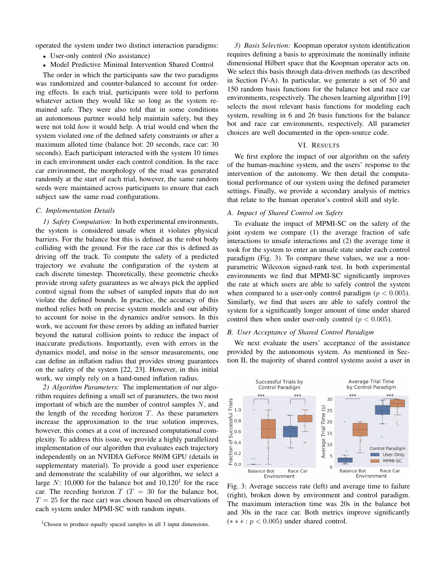operated the system under two distinct interaction paradigms:

- User-only control (No assistance)
- Model Predictive Minimal Intervention Shared Control

The order in which the participants saw the two paradigms was randomized and counter-balanced to account for ordering effects. In each trial, participants were told to perform whatever action they would like so long as the system remained safe. They were also told that in some conditions an autonomous partner would help maintain safety, but they were not told how it would help. A trial would end when the system violated one of the defined safety constraints or after a maximum alloted time (balance bot: 20 seconds, race car: 30 seconds). Each participant interacted with the system 10 times in each environment under each control condition. In the race car environment, the morphology of the road was generated randomly at the start of each trial, however, the same random seeds were maintained across participants to ensure that each subject saw the same road configurations.

## C. Implementation Details

1) Safety Computation: In both experimental environments, the system is considered unsafe when it violates physical barriers. For the balance bot this is defined as the robot body colliding with the ground. For the race car this is defined as driving off the track. To compute the safety of a predicted trajectory we evaluate the configuration of the system at each discrete timestep. Theoretically, these geometric checks provide strong safety guarantees as we always pick the applied control signal from the subset of sampled inputs that do not violate the defined bounds. In practice, the accuracy of this method relies both on precise system models and our ability to account for noise in the dynamics and/or sensors. In this work, we account for these errors by adding an inflated barrier beyond the natural collision points to reduce the impact of inaccurate predictions. Importantly, even with errors in the dynamics model, and noise in the sensor measurements, one can define an inflation radius that provides strong guarantees on the safety of the system [22, 23]. However, in this initial work, we simply rely on a hand-tuned inflation radius.

2) Algorithm Parameters: The implementation of our algorithm requires defining a small set of parameters, the two most important of which are the number of control samples  $N$ , and the length of the receding horizon  $T$ . As these parameters increase the approximation to the true solution improves, however, this comes at a cost of increased computational complexity. To address this issue, we provide a highly parallelized implementation of our algorithm that evaluates each trajectory independently on an NVIDIA GeForce 860M GPU (details in supplementary material). To provide a good user experience and demonstrate the scalability of our algorithm, we select a large N: 10,000 for the balance bot and  $10,120<sup>1</sup>$  for the race car. The receding horizon  $T(T = 30)$  for the balance bot,  $T = 25$  for the race car) was chosen based on observations of each system under MPMI-SC with random inputs.

3) Basis Selection: Koopman operator system identification requires defining a basis to approximate the nominally infinite dimensional Hilbert space that the Koopman operator acts on. We select this basis through data-driven methods (as described in Section IV-A). In particular, we generate a set of 50 and 150 random basis functions for the balance bot and race car environments, respectively. The chosen learning algorithm [19] selects the most relevant basis functions for modeling each system, resulting in 6 and 26 basis functions for the balance bot and race car environments, respectively. All parameter choices are well documented in the open-source code.

## VI. RESULTS

We first explore the impact of our algorithm on the safety of the human-machine system, and the users' response to the intervention of the autonomy. We then detail the computational performance of our system using the defined parameter settings. Finally, we provide a secondary analysis of metrics that relate to the human operator's control skill and style.

#### A. Impact of Shared Control on Safety

To evaluate the impact of MPMI-SC on the safety of the joint system we compare (1) the average fraction of safe interactions to unsafe interactions and (2) the average time it took for the system to enter an unsafe state under each control paradigm (Fig. 3). To compare these values, we use a nonparametric Wilcoxon signed-rank test. In both experimental environments we find that MPMI-SC significantly improves the rate at which users are able to safely control the system when compared to a user-only control paradigm ( $p < 0.005$ ). Similarly, we find that users are able to safely control the system for a significantly longer amount of time under shared control then when under user-only control ( $p < 0.005$ ).

## B. User Acceptance of Shared Control Paradigm

We next evaluate the users' acceptance of the assistance provided by the autonomous system. As mentioned in Section II, the majority of shared control systems assist a user in



Fig. 3: Average success rate (left) and average time to failure (right), broken down by environment and control paradigm. The maximum interaction time was 20s in the balance bot and 30s in the race car. Both metrics improve significantly  $(** * : p < 0.005)$  under shared control.

<sup>&</sup>lt;sup>1</sup>Chosen to produce equally spaced samples in all 3 input dimensions.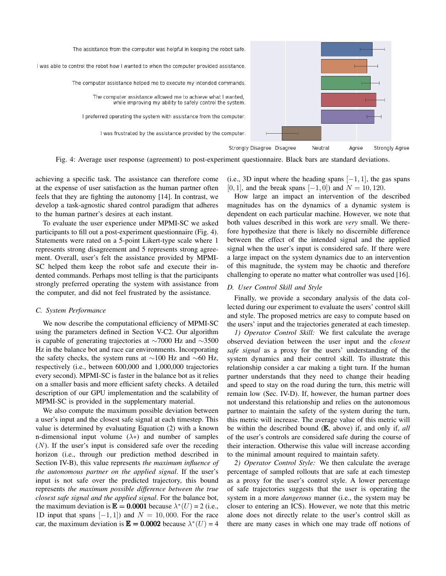

Fig. 4: Average user response (agreement) to post-experiment questionnaire. Black bars are standard deviations.

achieving a specific task. The assistance can therefore come at the expense of user satisfaction as the human partner often feels that they are fighting the autonomy [14]. In contrast, we develop a task-agnostic shared control paradigm that adheres to the human partner's desires at each instant.

To evaluate the user experience under MPMI-SC we asked participants to fill out a post-experiment questionnaire (Fig. 4). Statements were rated on a 5-point Likert-type scale where 1 represents strong disagreement and 5 represents strong agreement. Overall, user's felt the assistance provided by MPMI-SC helped them keep the robot safe and execute their indented commands. Perhaps most telling is that the participants strongly preferred operating the system with assistance from the computer, and did not feel frustrated by the assistance.

## C. System Performance

We now describe the computational efficiency of MPMI-SC using the parameters defined in Section V-C2. Our algorithm is capable of generating trajectories at  $\sim$ 7000 Hz and  $\sim$ 3500 Hz in the balance bot and race car environments. Incorporating the safety checks, the system runs at  $\sim$ 100 Hz and  $\sim$ 60 Hz, respectively (i.e., between 600,000 and 1,000,000 trajectories every second). MPMI-SC is faster in the balance bot as it relies on a smaller basis and more efficient safety checks. A detailed description of our GPU implementation and the scalability of MPMI-SC is provided in the supplementary material.

We also compute the maximum possible deviation between a user's input and the closest safe signal at each timestep. This value is determined by evaluating Equation (2) with a known n-dimensional input volume  $(\lambda*)$  and number of samples  $(N)$ . If the user's input is considered safe over the receding horizon (i.e., through our prediction method described in Section IV-B), this value represents the maximum influence of the autonomous partner on the applied signal. If the user's input is not safe over the predicted trajectory, this bound represents the maximum possible difference between the true closest safe signal and the applied signal. For the balance bot, the maximum deviation is  $\mathbb{E} = 0.0001$  because  $\lambda^*(U) = 2$  (i.e., 1D input that spans  $[-1, 1]$  and  $N = 10,000$ . For the race car, the maximum deviation is  $\mathbb{E} = 0.0002$  because  $\lambda^*(U) = 4$ 

(i.e., 3D input where the heading spans  $[-1, 1]$ , the gas spans [0, 1], and the break spans  $[-1, 0]$  and  $N = 10, 120$ .

How large an impact an intervention of the described magnitudes has on the dynamics of a dynamic system is dependent on each particular machine. However, we note that both values described in this work are *very* small. We therefore hypothesize that there is likely no discernible difference between the effect of the intended signal and the applied signal when the user's input is considered safe. If there were a large impact on the system dynamics due to an intervention of this magnitude, the system may be chaotic and therefore challenging to operate no matter what controller was used [16].

#### D. User Control Skill and Style

Finally, we provide a secondary analysis of the data collected during our experiment to evaluate the users' control skill and style. The proposed metrics are easy to compute based on the users' input and the trajectories generated at each timestep.

1) Operator Control Skill: We first calculate the average observed deviation between the user input and the *closest* safe signal as a proxy for the users' understanding of the system dynamics and their control skill. To illustrate this relationship consider a car making a tight turn. If the human partner understands that they need to change their heading and speed to stay on the road during the turn, this metric will remain low (Sec. IV-D). If, however, the human partner does not understand this relationship and relies on the autonomous partner to maintain the safety of the system during the turn, this metric will increase. The average value of this metric will be within the described bound  $(E, above)$  if, and only if, all of the user's controls are considered safe during the course of their interaction. Otherwise this value will increase according to the minimal amount required to maintain safety.

2) Operator Control Style: We then calculate the average percentage of sampled rollouts that are safe at each timestep as a proxy for the user's control style. A lower percentage of safe trajectories suggests that the user is operating the system in a more *dangerous* manner (i.e., the system may be closer to entering an ICS). However, we note that this metric alone does not directly relate to the user's control skill as there are many cases in which one may trade off notions of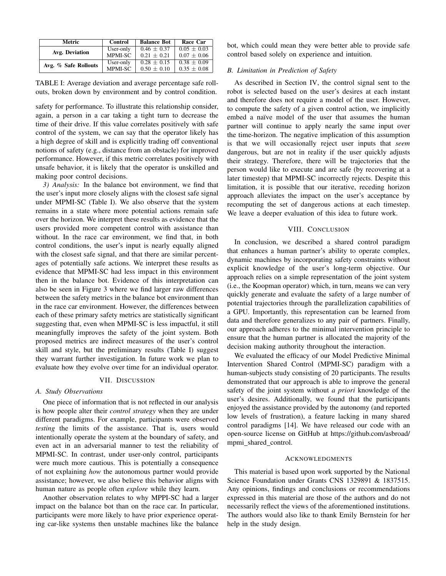| Metric               | Control   | <b>Balance Bot</b> | Race Car        |
|----------------------|-----------|--------------------|-----------------|
| Avg. Deviation       | User-only | $0.46 \pm 0.37$    | $0.05 \pm 0.03$ |
|                      | MPMI-SC   | $0.21 + 0.21$      | $0.07 + 0.06$   |
| Avg. % Safe Rollouts | User-only | $0.28 + 0.15$      | $0.38 \pm 0.09$ |
|                      | MPMI-SC   | $0.50 + 0.10$      | $0.35 \pm 0.08$ |

TABLE I: Average deviation and average percentage safe rollouts, broken down by environment and by control condition.

safety for performance. To illustrate this relationship consider, again, a person in a car taking a tight turn to decrease the time of their drive. If this value correlates positively with safe control of the system, we can say that the operator likely has a high degree of skill and is explicitly trading off conventional notions of safety (e.g., distance from an obstacle) for improved performance. However, if this metric correlates positively with unsafe behavior, it is likely that the operator is unskilled and making poor control decisions.

3) Analysis: In the balance bot environment, we find that the user's input more closely aligns with the closest safe signal under MPMI-SC (Table I). We also observe that the system remains in a state where more potential actions remain safe over the horizon. We interpret these results as evidence that the users provided more competent control with assistance than without. In the race car environment, we find that, in both control conditions, the user's input is nearly equally aligned with the closest safe signal, and that there are similar percentages of potentially safe actions. We interpret these results as evidence that MPMI-SC had less impact in this environment then in the balance bot. Evidence of this interpretation can also be seen in Figure 3 where we find larger raw differences between the safety metrics in the balance bot environment than in the race car environment. However, the differences between each of these primary safety metrics are statistically significant suggesting that, even when MPMI-SC is less impactful, it still meaningfully improves the safety of the joint system. Both proposed metrics are indirect measures of the user's control skill and style, but the preliminary results (Table I) suggest they warrant further investigation. In future work we plan to evaluate how they evolve over time for an individual operator.

## VII. DISCUSSION

#### A. Study Observations

One piece of information that is not reflected in our analysis is how people alter their *control strategy* when they are under different paradigms. For example, participants were observed testing the limits of the assistance. That is, users would intentionally operate the system at the boundary of safety, and even act in an adversarial manner to test the reliability of MPMI-SC. In contrast, under user-only control, participants were much more cautious. This is potentially a consequence of not explaining how the autonomous partner would provide assistance; however, we also believe this behavior aligns with human nature as people often *explore* while they learn.

Another observation relates to why MPPI-SC had a larger impact on the balance bot than on the race car. In particular, participants were more likely to have prior experience operating car-like systems then unstable machines like the balance bot, which could mean they were better able to provide safe control based solely on experience and intuition.

## B. Limitation in Prediction of Safety

As described in Section IV, the control signal sent to the robot is selected based on the user's desires at each instant and therefore does not require a model of the user. However, to compute the safety of a given control action, we implicitly embed a naïve model of the user that assumes the human partner will continue to apply nearly the same input over the time-horizon. The negative implication of this assumption is that we will occasionally reject user inputs that seem dangerous, but are not in reality if the user quickly adjusts their strategy. Therefore, there will be trajectories that the person would like to execute and are safe (by recovering at a later timestep) that MPMI-SC incorrectly rejects. Despite this limitation, it is possible that our iterative, receding horizon approach alleviates the impact on the user's acceptance by recomputing the set of dangerous actions at each timestep. We leave a deeper evaluation of this idea to future work.

#### VIII. CONCLUSION

In conclusion, we described a shared control paradigm that enhances a human partner's ability to operate complex, dynamic machines by incorporating safety constraints without explicit knowledge of the user's long-term objective. Our approach relies on a simple representation of the joint system (*i.e.*, the Koopman operator) which, in turn, means we can very quickly generate and evaluate the safety of a large number of potential trajectories through the parallelization capabilities of a GPU. Importantly, this representation can be learned from data and therefore generalizes to any pair of partners. Finally, our approach adheres to the minimal intervention principle to ensure that the human partner is allocated the majority of the decision making authority throughout the interaction.

We evaluated the efficacy of our Model Predictive Minimal Intervention Shared Control (MPMI-SC) paradigm with a human-subjects study consisting of 20 participants. The results demonstrated that our approach is able to improve the general safety of the joint system without a priori knowledge of the user's desires. Additionally, we found that the participants enjoyed the assistance provided by the autonomy (and reported low levels of frustration), a feature lacking in many shared control paradigms [14]. We have released our code with an open-source license on GitHub at https://github.com/asbroad/ mpmi\_shared\_control.

#### **ACKNOWLEDGMENTS**

This material is based upon work supported by the National Science Foundation under Grants CNS 1329891 & 1837515. Any opinions, findings and conclusions or recommendations expressed in this material are those of the authors and do not necessarily reflect the views of the aforementioned institutions. The authors would also like to thank Emily Bernstein for her help in the study design.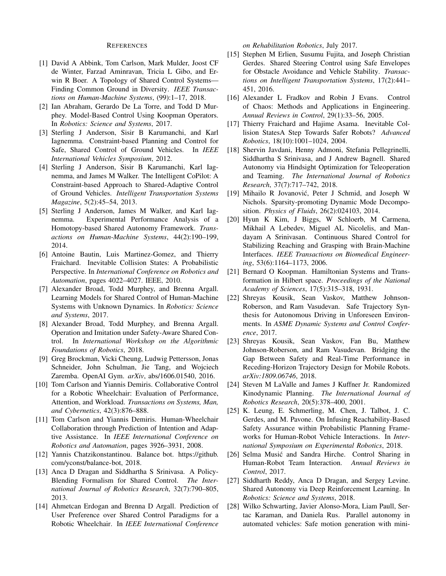#### **REFERENCES**

- [1] David A Abbink, Tom Carlson, Mark Mulder, Joost CF de Winter, Farzad Aminravan, Tricia L Gibo, and Erwin R Boer. A Topology of Shared Control Systems-Finding Common Ground in Diversity. IEEE Transactions on Human-Machine Systems, (99):1-17, 2018.
- [2] Ian Abraham, Gerardo De La Torre, and Todd D Murphey. Model-Based Control Using Koopman Operators. In Robotics: Science and Systems, 2017.
- [3] Sterling J Anderson, Sisir B Karumanchi, and Karl Iagnemma. Constraint-based Planning and Control for Safe, Shared Control of Ground Vehicles. In IEEE International Vehicles Symposium, 2012.
- [4] Sterling J Anderson, Sisir B Karumanchi, Karl Iagnemma, and James M Walker. The Intelligent CoPilot: A Constraint-based Approach to Shared-Adaptive Control of Ground Vehicles. Intelligent Transportation Systems Magazine, 5(2):45-54, 2013.
- [5] Sterling J Anderson, James M Walker, and Karl Iag-Experimental Performance Analysis of a nemma. Homotopy-based Shared Autonomy Framework. Transactions on Human-Machine Systems, 44(2):190-199, 2014.
- [6] Antoine Bautin, Luis Martinez-Gomez, and Thierry Fraichard. Inevitable Collision States: A Probabilistic Perspective. In International Conference on Robotics and Automation, pages 4022-4027. IEEE, 2010.
- [7] Alexander Broad, Todd Murphey, and Brenna Argall. Learning Models for Shared Control of Human-Machine Systems with Unknown Dynamics. In Robotics: Science and Systems, 2017.
- [8] Alexander Broad, Todd Murphey, and Brenna Argall. Operation and Imitation under Safety-Aware Shared Con-In International Workshop on the Algorithmic trol. Foundations of Robotics, 2018.
- [9] Greg Brockman, Vicki Cheung, Ludwig Pettersson, Jonas Schneider, John Schulman, Jie Tang, and Wojciech Zaremba. OpenAI Gym. arXiv, abs/1606.01540, 2016.
- [10] Tom Carlson and Yiannis Demiris. Collaborative Control for a Robotic Wheelchair: Evaluation of Performance, Attention, and Workload. Transactions on Systems, Man, and Cybernetics, 42(3):876-888.
- [11] Tom Carlson and Yiannis Demiris. Human-Wheelchair Collaboration through Prediction of Intention and Adaptive Assistance. In IEEE International Conference on Robotics and Automation, pages 3926–3931, 2008.
- [12] Yannis Chatzikonstantinou. Balance bot. https://github. com/yconst/balance-bot, 2018.
- [13] Anca D Dragan and Siddhartha S Srinivasa. A Policy-Blending Formalism for Shared Control. The International Journal of Robotics Research, 32(7):790–805, 2013.
- [14] Ahmetcan Erdogan and Brenna D Argall. Prediction of User Preference over Shared Control Paradigms for a Robotic Wheelchair. In IEEE International Conference

on Rehabilitation Robotics, July 2017.

- [15] Stephen M Erlien, Susumu Fujita, and Joseph Christian Gerdes. Shared Steering Control using Safe Envelopes for Obstacle Avoidance and Vehicle Stability. Transactions on Intelligent Transportation Systems, 17(2):441-451, 2016.
- [16] Alexander L Fradkov and Robin J Evans. Control of Chaos: Methods and Applications in Engineering. Annual Reviews in Control, 29(1):33-56, 2005.
- [17] Thierry Fraichard and Hajime Asama. Inevitable Collision StatesA Step Towards Safer Robots? Advanced Robotics, 18(10):1001-1024, 2004.
- [18] Shervin Javdani, Henny Admoni, Stefania Pellegrinelli, Siddhartha S Srinivasa, and J Andrew Bagnell. Shared Autonomy via Hindsight Optimization for Teleoperation and Teaming. The International Journal of Robotics Research, 37(7):717-742, 2018.
- [19] Mihailo R Jovanović, Peter J Schmid, and Joseph W Nichols. Sparsity-promoting Dynamic Mode Decomposition. Physics of Fluids, 26(2):024103, 2014.
- [20] Hyun K Kim, J Biggs, W Schloerb, M Carmena, Mikhail A Lebedev, Miguel AL Nicolelis, and Mandayam A Srinivasan. Continuous Shared Control for Stabilizing Reaching and Grasping with Brain-Machine Interfaces. IEEE Transactions on Biomedical Engineering, 53(6):1164-1173, 2006.
- [21] Bernard O Koopman. Hamiltonian Systems and Transformation in Hilbert space. Proceedings of the National Academy of Sciences, 17(5):315-318, 1931.
- [22] Shreyas Kousik, Sean Vaskov, Matthew Johnson-Roberson, and Ram Vasudevan. Safe Trajectory Synthesis for Autonomous Driving in Unforeseen Environments. In ASME Dynamic Systems and Control Conference, 2017.
- [23] Shreyas Kousik, Sean Vaskov, Fan Bu, Matthew Johnson-Roberson, and Ram Vasudevan. Bridging the Gap Between Safety and Real-Time Performance in Receding-Horizon Trajectory Design for Mobile Robots. arXiv:1809.06746, 2018.
- [24] Steven M LaValle and James J Kuffner Jr. Randomized Kinodynamic Planning. The International Journal of Robotics Research, 20(5):378-400, 2001.
- [25] K. Leung, E. Schmerling, M. Chen, J. Talbot, J. C. Gerdes, and M. Pavone. On Infusing Reachability-Based Safety Assurance within Probabilistic Planning Frameworks for Human-Robot Vehicle Interactions. In International Symposium on Experimental Robotics, 2018.
- $[26]$ Selma Musić and Sandra Hirche. Control Sharing in Human-Robot Team Interaction. Annual Reviews in Control, 2017.
- [27] Siddharth Reddy, Anca D Dragan, and Sergey Levine. Shared Autonomy via Deep Reinforcement Learning. In Robotics: Science and Systems, 2018.
- $\lceil 28 \rceil$ Wilko Schwarting, Javier Alonso-Mora, Liam Paull, Sertac Karaman, and Daniela Rus. Parallel autonomy in automated vehicles: Safe motion generation with mini-